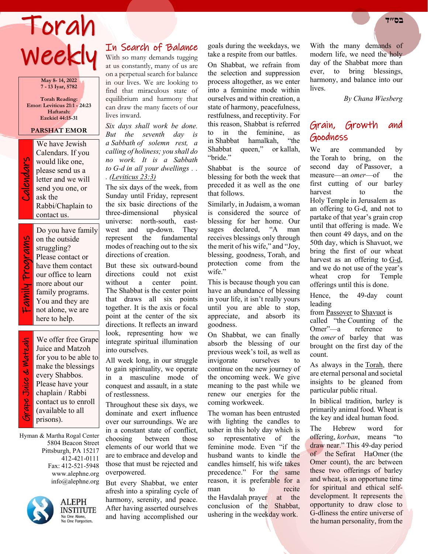# Torah **בס״ד**  Weekly

**May 8- 14, 2022 7 - 13 Iyar, 5782**

**Torah Reading: Emor: Leviticus 21:1 - 24:23 Haftarah: Ezekiel 44:15-31**

## **PARSHAT EMOR**

Calendars. If you ask the

We have Jewish<br>Calendars. If you<br>would like one,<br>please send us a<br>letter and we will<br>send you one, or<br>ask the would like one, please send us a letter and we will send you one, or Rabbi/Chaplain to contact us. Do you have family

Family Programs amily Programs

on the outside struggling? Please contact or have them contact our office to learn more about our family programs. You and they are not alone, we are here to help.

 Grape Juice & Matzah ape Juice & Watzah

We offer free Grape Juice and Matzoh for you to be able to make the blessings every Shabbos. Please have your chaplain / Rabbi contact us to enroll (available to all prisons).

Hyman & Martha Rogal Center 5804 Beacon Street Pittsburgh, PA 15217 412-421-0111 Fax: 412-521-5948 www.alephne.org info@alephne.org



**ALEPH INSTITUTE** No One Alone,<br>No One Forgotten.

# In Search of Balance

With so many demands tugging at us constantly, many of us are on a perpetual search for balance in our lives. We are looking to find that miraculous state of equilibrium and harmony that can draw the many facets of our lives inward.

*Six days shall work be done. But the seventh day is a Sabbath of solemn rest, a calling of holiness; you shall do no work. It is a Sabbath to G-d in all your dwellings . . . [\(Leviticus 23:3\)](https://www.chabad.org/9924#v3)*

The six days of the week, from Sunday until Friday, represent the six basic directions of the<br>three-dimensional physical three-dimensional universe: north-south, eastwest and up-down. They represent the fundamental modes of reaching out to the six directions of creation.

But these six outward-bound directions could not exist without a center point. The Shabbat is the center point that draws all six points together. It is the axis or focal point at the center of the six directions. It reflects an inward look, representing how we integrate spiritual illumination into ourselves.

All week long, in our struggle to gain spirituality, we operate in a masculine mode of conquest and assault, in a state of restlessness.

Throughout these six days, we dominate and exert influence over our surroundings. We are in a constant state of conflict, choosing between those elements of our world that we are to embrace and develop and those that must be rejected and overpowered.

But every Shabbat, we enter afresh into a spiraling cycle of harmony, serenity, and peace. After having asserted ourselves and having accomplished our

goals during the weekdays, we take a respite from our battles.

On Shabbat, we refrain from the selection and suppression process altogether, as we enter into a feminine mode within ourselves and within creation, a state of harmony, peacefulness, restfulness, and receptivity. For this reason, Shabbat is referred<br>to in the feminine, as to in the feminine, as in Shabbat hamalkah, "the Shabbat queen," or kallah, "bride."

Shabbat is the source of blessing for both the week that preceded it as well as the one that follows.

Similarly, in Judaism, a woman is considered the source of blessing for her home. Our sages declared, "A man receives blessings only through the merit of his wife," and "Joy, blessing, goodness, Torah, and protection come from the wife."

This is because though you can have an abundance of blessing in your life, it isn't really yours until you are able to stop, appreciate, and absorb its goodness.

On Shabbat, we can finally absorb the blessing of our previous week's toil, as well as invigorate ourselves to continue on the new journey of the oncoming week. We give meaning to the past while we renew our energies for the coming workweek.

The woman has been entrusted with lighting the candles to usher in this holy day which is so representative of the feminine mode. Even "if the husband wants to kindle the candles himself, his wife takes precedence." For the same reason, it is preferable for a man to recite<br>the Havdalah praver at the the Havdalah prayer conclusion of the Shabbat, ushering in the weekday work.

With the many demands of modern life, we need the holy day of the Shabbat more than ever, to bring blessings, harmony, and balance into our lives.

*By Chana Wiesberg*

# Grain, Growth and Goodness

We are commanded by the Torah to bring, on the second day of Passover, a measure—an *omer*—of the first cutting of our barley harvest to the Holy Temple in Jerusalem as

an offering to G-d, and not to partake of that year's grain crop until that offering is made. We then count 49 days, and on the 50th day, which is Shavuot, we bring the first of our wheat harvest as an offering to [G-d,](https://www.chabad.org/library/article_cdo/aid/433240/jewish/God.htm) and we do not use of the year's wheat crop for Temple offerings until this is done.

Hence, the 49-day count leading

from [Passover](https://www.chabad.org/holidays/passover/default_cdo/jewish/Passover.htm) to [Shavuot](https://www.chabad.org/library/article_cdo/aid/111377/jewish/Shavuot.htm) is

called "the Counting of the Omer"—a reference to the *omer* of barley that was brought on the first day of the count.

As always in the [Torah,](https://www.chabad.org/library/article_cdo/aid/1426382/jewish/Torah.htm) there are eternal personal and societal insights to be gleaned from particular public ritual.

In biblical tradition, barley is primarily animal food. Wheat is the key and ideal human food.

The Hebrew word for offering, *korban*, means "to draw near." This 49-day period of the Sefirat HaOmer (the Omer count), the arc between these two offerings of barley and wheat, is an opportune time for spiritual and ethical selfdevelopment. It represents the opportunity to draw close to G-dliness the entire universe of the human personality, from the